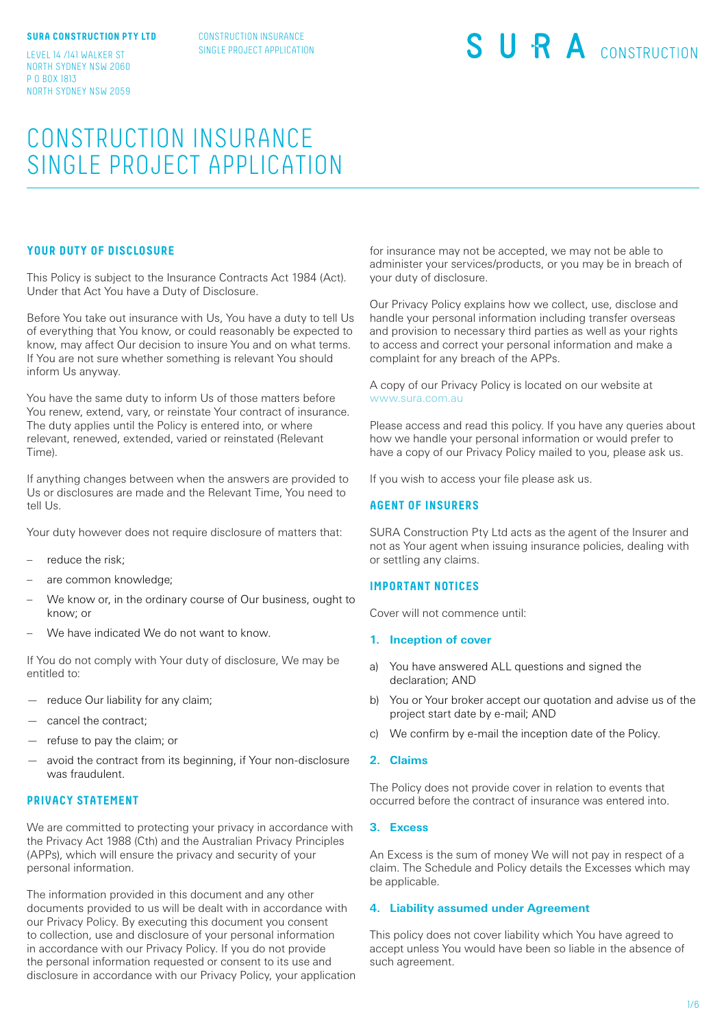#### **SURA CONSTRUCTION PTY LTD**

CONSTRUCTION INSURANCE SINGLE PROJECT APPLICATION

LEVEL 14 /141 WALKER ST NORTH SYDNEY NSW 2060 P O BOX 1813 NORTH SYDNEY NSW 2059

# SURA CONSTRUCTION

## CONSTRUCTION INSURANCE SINGLE PROJECT APPLICATION

### **YOUR DUTY OF DISCLOSURE**

This Policy is subject to the Insurance Contracts Act 1984 (Act). Under that Act You have a Duty of Disclosure.

Before You take out insurance with Us, You have a duty to tell Us of everything that You know, or could reasonably be expected to know, may affect Our decision to insure You and on what terms. If You are not sure whether something is relevant You should inform Us anyway.

You have the same duty to inform Us of those matters before You renew, extend, vary, or reinstate Your contract of insurance. The duty applies until the Policy is entered into, or where relevant, renewed, extended, varied or reinstated (Relevant Time).

If anything changes between when the answers are provided to Us or disclosures are made and the Relevant Time, You need to tell Us.

Your duty however does not require disclosure of matters that:

- reduce the risk:
- are common knowledge;
- We know or, in the ordinary course of Our business, ought to know; or
- We have indicated We do not want to know.

If You do not comply with Your duty of disclosure, We may be entitled to:

- reduce Our liability for any claim;
- cancel the contract;
- refuse to pay the claim; or
- avoid the contract from its beginning, if Your non-disclosure was fraudulent.

#### **PRIVACY STATEMENT**

We are committed to protecting your privacy in accordance with the Privacy Act 1988 (Cth) and the Australian Privacy Principles (APPs), which will ensure the privacy and security of your personal information.

The information provided in this document and any other documents provided to us will be dealt with in accordance with our Privacy Policy. By executing this document you consent to collection, use and disclosure of your personal information in accordance with our Privacy Policy. If you do not provide the personal information requested or consent to its use and disclosure in accordance with our Privacy Policy, your application for insurance may not be accepted, we may not be able to administer your services/products, or you may be in breach of your duty of disclosure.

Our Privacy Policy explains how we collect, use, disclose and handle your personal information including transfer overseas and provision to necessary third parties as well as your rights to access and correct your personal information and make a complaint for any breach of the APPs.

A copy of our Privacy Policy is located on our website at www.sura.com.au

Please access and read this policy. If you have any queries about how we handle your personal information or would prefer to have a copy of our Privacy Policy mailed to you, please ask us.

If you wish to access your file please ask us.

#### **AGENT OF INSURERS**

SURA Construction Pty Ltd acts as the agent of the Insurer and not as Your agent when issuing insurance policies, dealing with or settling any claims.

### **IMPORTANT NOTICES**

Cover will not commence until:

- **1. Inception of cover**
- a) You have answered ALL questions and signed the declaration; AND
- b) You or Your broker accept our quotation and advise us of the project start date by e-mail; AND
- c) We confirm by e-mail the inception date of the Policy.
- **2. Claims**

The Policy does not provide cover in relation to events that occurred before the contract of insurance was entered into.

#### **3. Excess**

An Excess is the sum of money We will not pay in respect of a claim. The Schedule and Policy details the Excesses which may be applicable.

#### **4. Liability assumed under Agreement**

This policy does not cover liability which You have agreed to accept unless You would have been so liable in the absence of such agreement.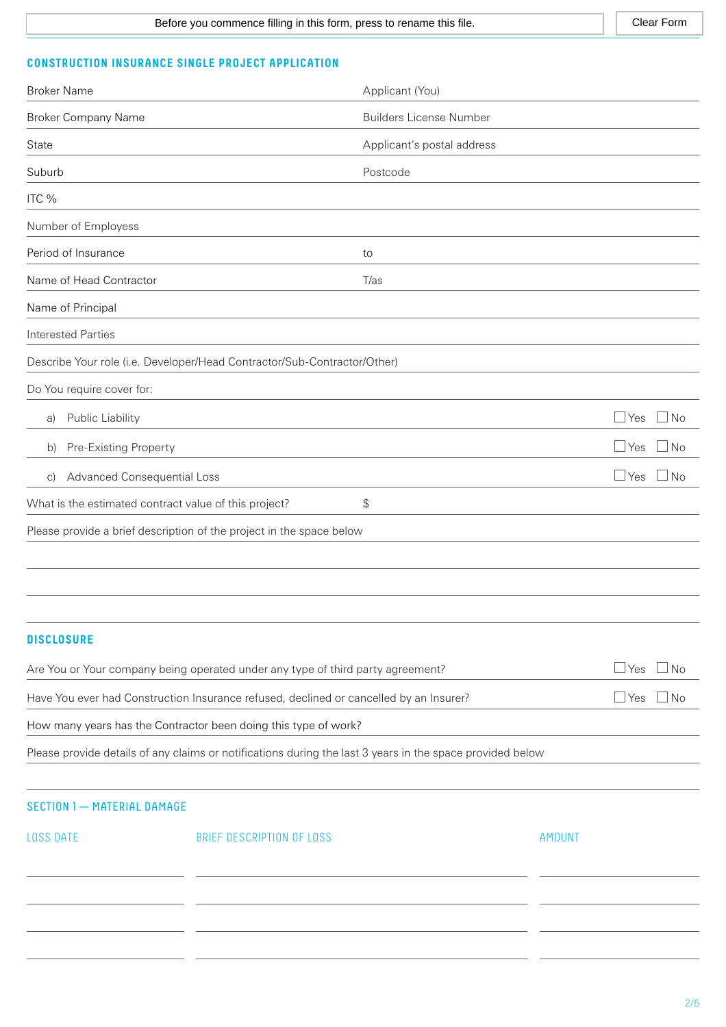## **CONSTRUCTION INSURANCE SINGLE PROJECT APPLICATION**

| <b>Builders License Number</b><br>Applicant's postal address<br>Postcode<br>to<br>T/as<br>Describe Your role (i.e. Developer/Head Contractor/Sub-Contractor/Other)<br><b>No</b><br>Public Liability<br>$\Box$ Yes<br>a)<br>Pre-Existing Property<br>$\Box$ Yes<br>No<br>b)<br><b>Advanced Consequential Loss</b><br>$\Box$ Yes<br>No<br>$\vert$ C)<br>\$<br>Please provide a brief description of the project in the space below<br>$\Box$ Yes $\Box$ No<br>Are You or Your company being operated under any type of third party agreement?<br>Have You ever had Construction Insurance refused, declined or cancelled by an Insurer?<br>$\Box$ Yes<br>$\Box$ No<br>How many years has the Contractor been doing this type of work?<br>Please provide details of any claims or notifications during the last 3 years in the space provided below | <b>Broker Name</b>                                    | Applicant (You) |  |
|--------------------------------------------------------------------------------------------------------------------------------------------------------------------------------------------------------------------------------------------------------------------------------------------------------------------------------------------------------------------------------------------------------------------------------------------------------------------------------------------------------------------------------------------------------------------------------------------------------------------------------------------------------------------------------------------------------------------------------------------------------------------------------------------------------------------------------------------------|-------------------------------------------------------|-----------------|--|
|                                                                                                                                                                                                                                                                                                                                                                                                                                                                                                                                                                                                                                                                                                                                                                                                                                                  | <b>Broker Company Name</b>                            |                 |  |
|                                                                                                                                                                                                                                                                                                                                                                                                                                                                                                                                                                                                                                                                                                                                                                                                                                                  | State                                                 |                 |  |
|                                                                                                                                                                                                                                                                                                                                                                                                                                                                                                                                                                                                                                                                                                                                                                                                                                                  | Suburb                                                |                 |  |
|                                                                                                                                                                                                                                                                                                                                                                                                                                                                                                                                                                                                                                                                                                                                                                                                                                                  | ITC %                                                 |                 |  |
|                                                                                                                                                                                                                                                                                                                                                                                                                                                                                                                                                                                                                                                                                                                                                                                                                                                  | Number of Employess                                   |                 |  |
|                                                                                                                                                                                                                                                                                                                                                                                                                                                                                                                                                                                                                                                                                                                                                                                                                                                  | Period of Insurance                                   |                 |  |
|                                                                                                                                                                                                                                                                                                                                                                                                                                                                                                                                                                                                                                                                                                                                                                                                                                                  | Name of Head Contractor                               |                 |  |
|                                                                                                                                                                                                                                                                                                                                                                                                                                                                                                                                                                                                                                                                                                                                                                                                                                                  | Name of Principal                                     |                 |  |
|                                                                                                                                                                                                                                                                                                                                                                                                                                                                                                                                                                                                                                                                                                                                                                                                                                                  | <b>Interested Parties</b>                             |                 |  |
|                                                                                                                                                                                                                                                                                                                                                                                                                                                                                                                                                                                                                                                                                                                                                                                                                                                  |                                                       |                 |  |
|                                                                                                                                                                                                                                                                                                                                                                                                                                                                                                                                                                                                                                                                                                                                                                                                                                                  | Do You require cover for:                             |                 |  |
|                                                                                                                                                                                                                                                                                                                                                                                                                                                                                                                                                                                                                                                                                                                                                                                                                                                  |                                                       |                 |  |
|                                                                                                                                                                                                                                                                                                                                                                                                                                                                                                                                                                                                                                                                                                                                                                                                                                                  |                                                       |                 |  |
|                                                                                                                                                                                                                                                                                                                                                                                                                                                                                                                                                                                                                                                                                                                                                                                                                                                  |                                                       |                 |  |
|                                                                                                                                                                                                                                                                                                                                                                                                                                                                                                                                                                                                                                                                                                                                                                                                                                                  | What is the estimated contract value of this project? |                 |  |
|                                                                                                                                                                                                                                                                                                                                                                                                                                                                                                                                                                                                                                                                                                                                                                                                                                                  |                                                       |                 |  |
|                                                                                                                                                                                                                                                                                                                                                                                                                                                                                                                                                                                                                                                                                                                                                                                                                                                  |                                                       |                 |  |
|                                                                                                                                                                                                                                                                                                                                                                                                                                                                                                                                                                                                                                                                                                                                                                                                                                                  |                                                       |                 |  |
|                                                                                                                                                                                                                                                                                                                                                                                                                                                                                                                                                                                                                                                                                                                                                                                                                                                  |                                                       |                 |  |
|                                                                                                                                                                                                                                                                                                                                                                                                                                                                                                                                                                                                                                                                                                                                                                                                                                                  | <b>DISCLOSURE</b>                                     |                 |  |
|                                                                                                                                                                                                                                                                                                                                                                                                                                                                                                                                                                                                                                                                                                                                                                                                                                                  |                                                       |                 |  |
|                                                                                                                                                                                                                                                                                                                                                                                                                                                                                                                                                                                                                                                                                                                                                                                                                                                  |                                                       |                 |  |
|                                                                                                                                                                                                                                                                                                                                                                                                                                                                                                                                                                                                                                                                                                                                                                                                                                                  |                                                       |                 |  |
|                                                                                                                                                                                                                                                                                                                                                                                                                                                                                                                                                                                                                                                                                                                                                                                                                                                  |                                                       |                 |  |
|                                                                                                                                                                                                                                                                                                                                                                                                                                                                                                                                                                                                                                                                                                                                                                                                                                                  |                                                       |                 |  |
|                                                                                                                                                                                                                                                                                                                                                                                                                                                                                                                                                                                                                                                                                                                                                                                                                                                  | <b>SECTION 1 - MATERIAL DAMAGE</b>                    |                 |  |
| BRIEF DESCRIPTION OF LOSS<br><b>AMOUNT</b>                                                                                                                                                                                                                                                                                                                                                                                                                                                                                                                                                                                                                                                                                                                                                                                                       | <b>LOSS DATE</b>                                      |                 |  |
|                                                                                                                                                                                                                                                                                                                                                                                                                                                                                                                                                                                                                                                                                                                                                                                                                                                  |                                                       |                 |  |
|                                                                                                                                                                                                                                                                                                                                                                                                                                                                                                                                                                                                                                                                                                                                                                                                                                                  |                                                       |                 |  |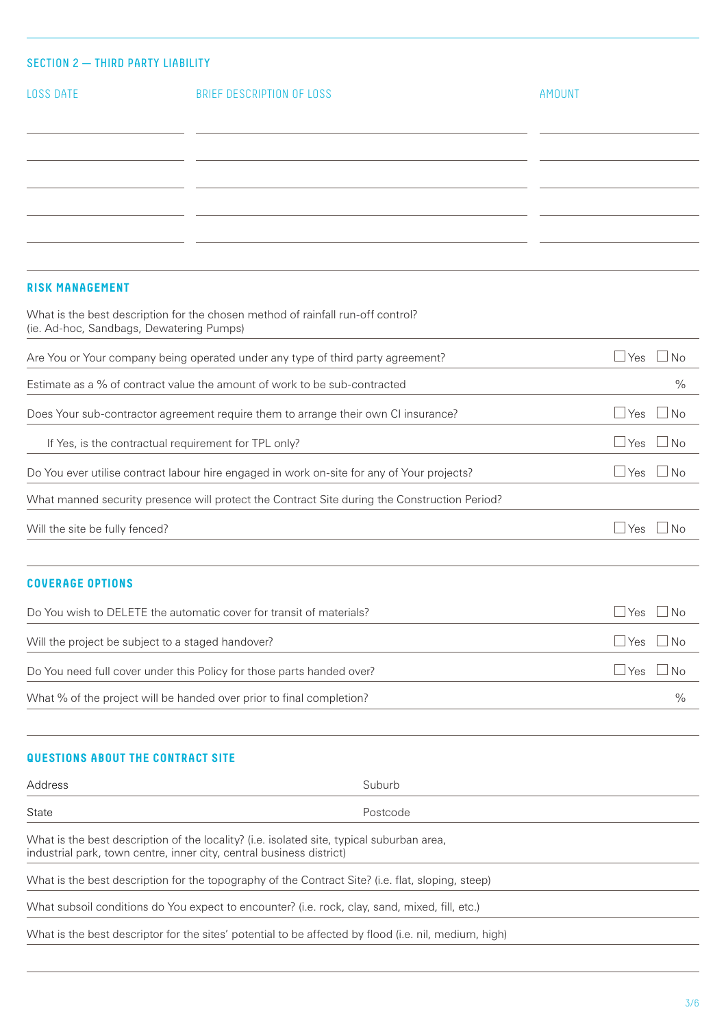## SECTION 2 - THIRD PARTY LIABILITY

| <b>LOSS DATE</b>                         | BRIEF DESCRIPTION OF LOSS                                                       | AMOUNT                                      |
|------------------------------------------|---------------------------------------------------------------------------------|---------------------------------------------|
|                                          |                                                                                 |                                             |
|                                          |                                                                                 |                                             |
|                                          |                                                                                 |                                             |
|                                          |                                                                                 |                                             |
|                                          |                                                                                 |                                             |
| <b>RISK MANAGEMENT</b>                   |                                                                                 |                                             |
| (ie. Ad-hoc, Sandbags, Dewatering Pumps) | What is the best description for the chosen method of rainfall run-off control? |                                             |
|                                          | Ara You or Your company boing operated under any type of third party egreement? | $\Box$ $\vee$ $\circ$ $\Box$ $\Box$ $\circ$ |

| Are you or your company being operated under any type of third party agreement?              | res<br>I INO               |
|----------------------------------------------------------------------------------------------|----------------------------|
| Estimate as a % of contract value the amount of work to be sub-contracted                    | $\%$                       |
| Does Your sub-contractor agreement require them to arrange their own CI insurance?           | $\Box$ No<br>Yes           |
| If Yes, is the contractual requirement for TPL only?                                         | $\Box$ No<br><b>Salves</b> |
| Do You ever utilise contract labour hire engaged in work on-site for any of Your projects?   | l INo<br>Yes               |
| What manned security presence will protect the Contract Site during the Construction Period? |                            |
| Will the site be fully fenced?                                                               | N∩<br>. I Yes              |

## **COVERAGE OPTIONS**

| Do You wish to DELETE the automatic cover for transit of materials?   | $\Box$ No<br>$Y_{\text{AS}}$       |
|-----------------------------------------------------------------------|------------------------------------|
| Will the project be subject to a staged handover?                     | Yes     No                         |
| Do You need full cover under this Policy for those parts handed over? | $\frac{1}{2}$ Yes $\frac{1}{2}$ No |
| What % of the project will be handed over prior to final completion?  | $\frac{0}{0}$                      |

## **QUESTIONS ABOUT THE CONTRACT SITE**

| Address                                                                                                                                                           | Suburb   |
|-------------------------------------------------------------------------------------------------------------------------------------------------------------------|----------|
| State                                                                                                                                                             | Postcode |
| What is the best description of the locality? (i.e. isolated site, typical suburban area,<br>industrial park, town centre, inner city, central business district) |          |
| What is the best description for the topography of the Contract Site? (i.e. flat, sloping, steep)                                                                 |          |
| What subsoil conditions do You expect to encounter? (i.e. rock, clay, sand, mixed, fill, etc.)                                                                    |          |

What is the best descriptor for the sites' potential to be affected by flood (i.e. nil, medium, high)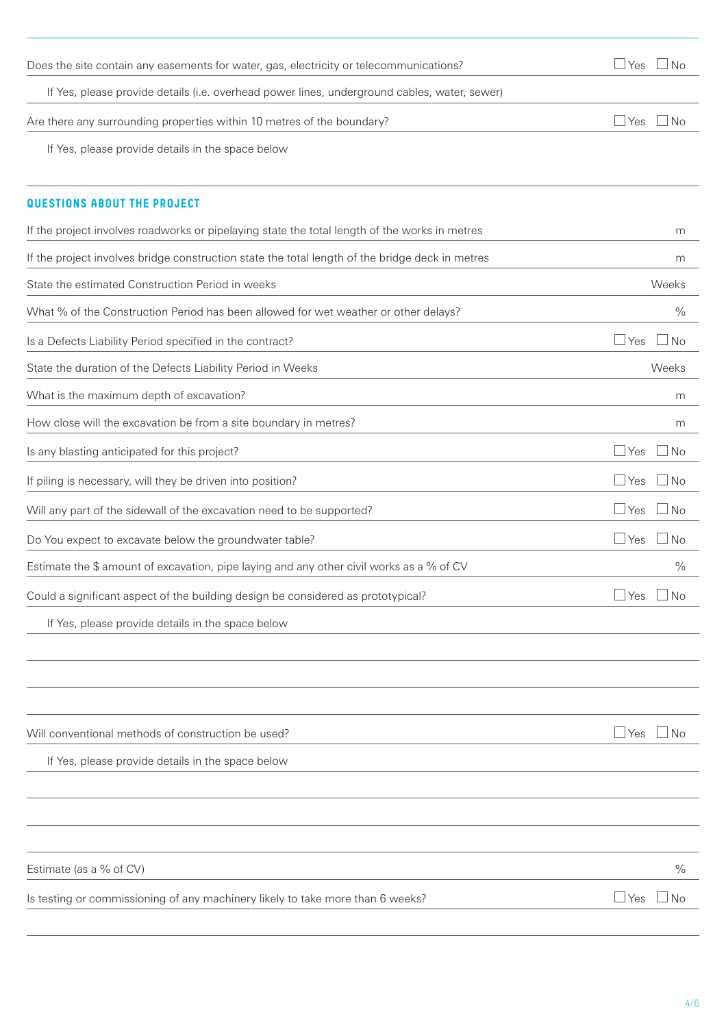| Does the site contain any easements for water, gas, electricity or telecommunications?          | ⊥No<br>Yes                       |
|-------------------------------------------------------------------------------------------------|----------------------------------|
| If Yes, please provide details (i.e. overhead power lines, underground cables, water, sewer)    |                                  |
| Are there any surrounding properties within 10 metres of the boundary?                          | $\Box$ Yes<br>$\Box$ No          |
| If Yes, please provide details in the space below                                               |                                  |
| <b>QUESTIONS ABOUT THE PROJECT</b>                                                              |                                  |
| If the project involves roadworks or pipelaying state the total length of the works in metres   | m                                |
| If the project involves bridge construction state the total length of the bridge deck in metres | m                                |
| State the estimated Construction Period in weeks                                                | Weeks                            |
| What % of the Construction Period has been allowed for wet weather or other delays?             | $\frac{0}{0}$                    |
| Is a Defects Liability Period specified in the contract?                                        | Yes<br>$\Box$ No                 |
| State the duration of the Defects Liability Period in Weeks                                     | Weeks                            |
| What is the maximum depth of excavation?                                                        | m                                |
| How close will the excavation be from a site boundary in metres?                                | m                                |
| Is any blasting anticipated for this project?                                                   | Yes<br>$\Box$ No<br>$\mathbf{I}$ |
| If piling is necessary, will they be driven into position?                                      | $\Box$ Yes<br>$\Box$ No          |
| Will any part of the sidewall of the excavation need to be supported?                           | $\Box$ Yes<br>$\Box$ No          |
| Do You expect to excavate below the groundwater table?                                          | $\Box$ Yes<br>$\Box$ No          |
| Estimate the \$ amount of excavation, pipe laying and any other civil works as a % of CV        | $\frac{0}{0}$                    |
| Could a significant aspect of the building design be considered as prototypical?                | Yes<br>⊿ No                      |
| If Yes, please provide details in the space below                                               |                                  |
|                                                                                                 |                                  |
| Will conventional methods of construction be used?                                              | $\Box$ Yes $\Box$ No             |
| If Yes, please provide details in the space below                                               |                                  |
|                                                                                                 |                                  |
| Estimate (as a % of CV)                                                                         | $\%$                             |
| Is testing or commissioning of any machinery likely to take more than 6 weeks?                  | $\Box$ Yes<br>$\Box$ No          |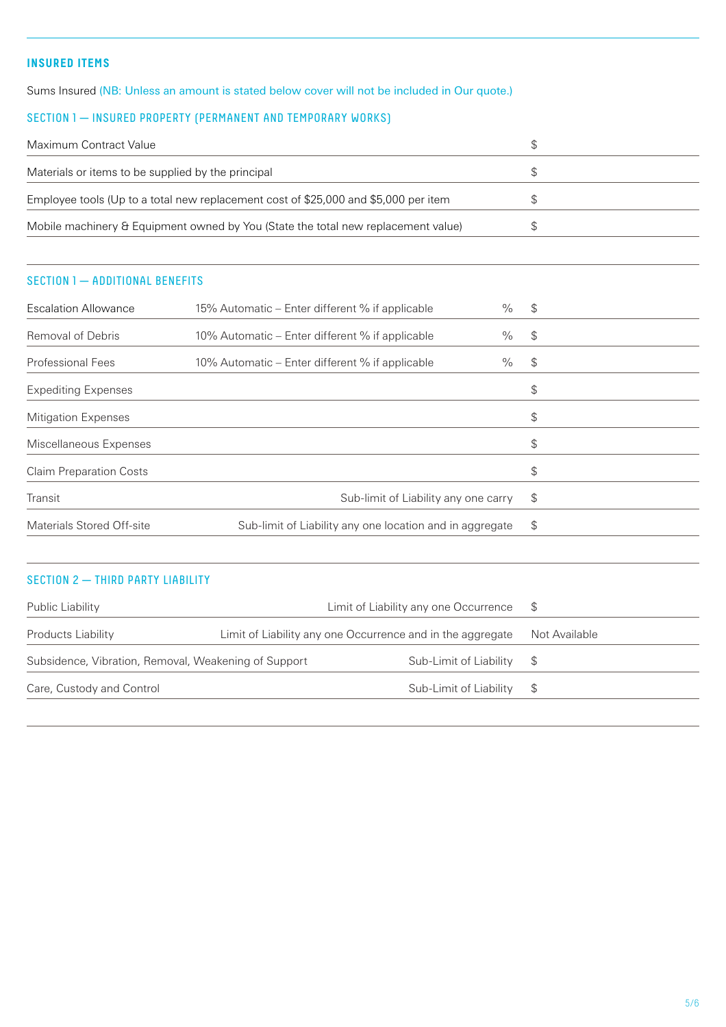## **INSURED ITEMS**

## Sums Insured (NB: Unless an amount is stated below cover will not be included in Our quote.)

Care, Custody and Control Care, Custody and Control Care Sub-Limit of Liability  $\$$ 

## SECTION 1 - INSURED PROPERTY (PERMANENT AND TEMPORARY WORKS)

| Maximum Contract Value                               |                                                                                     |                                                          |               | \$            |
|------------------------------------------------------|-------------------------------------------------------------------------------------|----------------------------------------------------------|---------------|---------------|
| Materials or items to be supplied by the principal   |                                                                                     |                                                          |               | \$            |
|                                                      | Employee tools (Up to a total new replacement cost of \$25,000 and \$5,000 per item |                                                          |               | \$            |
|                                                      | Mobile machinery & Equipment owned by You (State the total new replacement value)   |                                                          |               | \$            |
|                                                      |                                                                                     |                                                          |               |               |
| SECTION 1 - ADDITIONAL BENEFITS                      |                                                                                     |                                                          |               |               |
| <b>Escalation Allowance</b>                          | 15% Automatic - Enter different % if applicable                                     |                                                          | $\frac{0}{0}$ | $\frac{1}{2}$ |
| Removal of Debris                                    | 10% Automatic - Enter different % if applicable                                     |                                                          | $\frac{0}{0}$ | \$            |
| Professional Fees                                    | 10% Automatic - Enter different % if applicable                                     |                                                          | $\frac{0}{0}$ | \$            |
| <b>Expediting Expenses</b>                           |                                                                                     |                                                          |               | \$            |
| <b>Mitigation Expenses</b>                           |                                                                                     |                                                          |               | \$            |
| Miscellaneous Expenses                               |                                                                                     |                                                          |               | \$            |
| <b>Claim Preparation Costs</b>                       |                                                                                     |                                                          |               | \$            |
| Transit                                              |                                                                                     | Sub-limit of Liability any one carry                     |               | \$            |
| Materials Stored Off-site                            |                                                                                     | Sub-limit of Liability any one location and in aggregate |               | \$            |
|                                                      |                                                                                     |                                                          |               |               |
| <b>SECTION 2 - THIRD PARTY LIABILITY</b>             |                                                                                     |                                                          |               |               |
| Public Liability                                     |                                                                                     | Limit of Liability any one Occurrence                    |               | \$            |
| Products Liability                                   | Limit of Liability any one Occurrence and in the aggregate                          |                                                          |               | Not Available |
| Subsidence, Vibration, Removal, Weakening of Support |                                                                                     | Sub-Limit of Liability                                   |               | \$            |